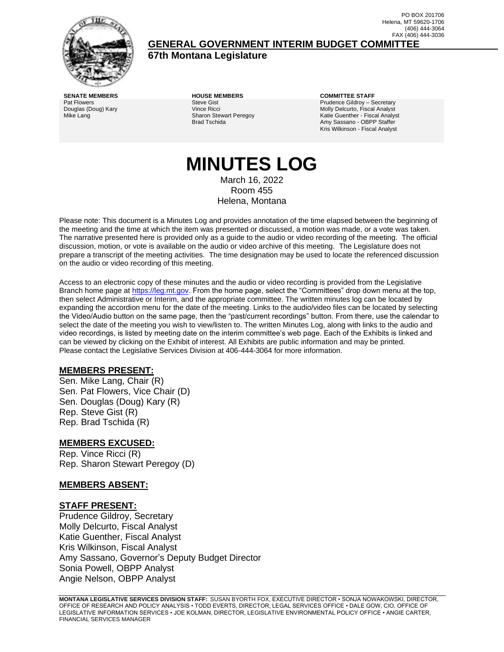

(406) 444-3064 FAX (406) 444-3036 **GENERAL GOVERNMENT INTERIM BUDGET COMMITTEE**

**67th Montana Legislature**

**SENATE MEMBERS HOUSE MEMBERS COMMITTEE STAFF** Pat Flowers Douglas (Doug) Kary Mike Lang

Steve Gist Vince Ricci Sharon Stewart Peregoy Brad Tschida

Prudence Gildroy – Secretary Molly Delcurto, Fiscal Analyst Katie Guenther - Fiscal Analyst Amy Sassano - OBPP Staffer Kris Wilkinson - Fiscal Analyst

PO BOX 201706 Helena, MT 59620-1706

# **MINUTES LOG** March 16, 2022

Room 455 Helena, Montana

Please note: This document is a Minutes Log and provides annotation of the time elapsed between the beginning of the meeting and the time at which the item was presented or discussed, a motion was made, or a vote was taken. The narrative presented here is provided only as a guide to the audio or video recording of the meeting. The official discussion, motion, or vote is available on the audio or video archive of this meeting. The Legislature does not prepare a transcript of the meeting activities. The time designation may be used to locate the referenced discussion on the audio or video recording of this meeting.

Access to an electronic copy of these minutes and the audio or video recording is provided from the Legislative Branch home page a[t https://leg.mt.gov.](http://legmt.gov/) From the home page, select the "Committees" drop down menu at the top, then select Administrative or Interim, and the appropriate committee. The written minutes log can be located by expanding the accordion menu for the date of the meeting. Links to the audio/video files can be located by selecting the Video/Audio button on the same page, then the "past/current recordings" button. From there, use the calendar to select the date of the meeting you wish to view/listen to. The written Minutes Log, along with links to the audio and video recordings, is listed by meeting date on the interim committee's web page. Each of the Exhibits is linked and can be viewed by clicking on the Exhibit of interest. All Exhibits are public information and may be printed. Please contact the Legislative Services Division at 406-444-3064 for more information.

# **MEMBERS PRESENT:**

Sen. Mike Lang, Chair (R) Sen. Pat Flowers, Vice Chair (D) Sen. Douglas (Doug) Kary (R) Rep. Steve Gist (R) Rep. Brad Tschida (R)

# **MEMBERS EXCUSED:**

Rep. Vince Ricci (R) Rep. Sharon Stewart Peregoy (D)

#### **MEMBERS ABSENT:**

#### **STAFF PRESENT:**

Prudence Gildroy, Secretary Molly Delcurto, Fiscal Analyst Katie Guenther, Fiscal Analyst Kris Wilkinson, Fiscal Analyst Amy Sassano, Governor's Deputy Budget Director Sonia Powell, OBPP Analyst Angie Nelson, OBPP Analyst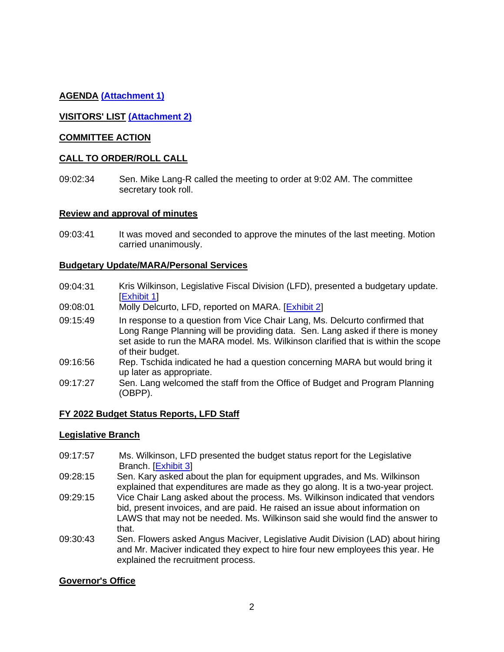# **AGENDA [\(Attachment 1\)](http://legmt.gov/)**

# **VISITORS' LIST [\(Attachment 2\)](http://legmt.gov/)**

#### **COMMITTEE ACTION**

#### **CALL TO ORDER/ROLL CALL**

09:02:34 Sen. Mike Lang-R called the meeting to order at 9:02 AM. The committee secretary took roll.

#### **Review and approval of minutes**

09:03:41 It was moved and seconded to approve the minutes of the last meeting. Motion carried unanimously.

#### **Budgetary Update/MARA/Personal Services**

- 09:04:31 Kris Wilkinson, Legislative Fiscal Division (LFD), presented a budgetary update. [\[Exhibit 1\]](https://leg.mt.gov/content/publications/fiscal/2023-Interim/IBC-D/MARA-Model-Methodology.pdf)
- 09:08:01 Molly Delcurto, LFD, reported on MARA. [\[Exhibit 2\]](https://leg.mt.gov/content/publications/fiscal/2023-Interim/March-2022/Short-2040-Model-graphics.pdf)
- 09:15:49 In response to a question from Vice Chair Lang, Ms. Delcurto confirmed that Long Range Planning will be providing data. Sen. Lang asked if there is money set aside to run the MARA model. Ms. Wilkinson clarified that is within the scope of their budget.
- 09:16:56 Rep. Tschida indicated he had a question concerning MARA but would bring it up later as appropriate.
- 09:17:27 Sen. Lang welcomed the staff from the Office of Budget and Program Planning (OBPP).

#### **FY 2022 Budget Status Reports, LFD Staff**

#### **Legislative Branch**

- 09:17:57 Ms. Wilkinson, LFD presented the budget status report for the Legislative Branch. [\[Exhibit 3\]](https://leg.mt.gov/content/publications/fiscal/2023-Interim/FY22-March/LEG.pdf)
- 09:28:15 Sen. Kary asked about the plan for equipment upgrades, and Ms. Wilkinson explained that expenditures are made as they go along. It is a two-year project.
- 09:29:15 Vice Chair Lang asked about the process. Ms. Wilkinson indicated that vendors bid, present invoices, and are paid. He raised an issue about information on LAWS that may not be needed. Ms. Wilkinson said she would find the answer to that.
- 09:30:43 Sen. Flowers asked Angus Maciver, Legislative Audit Division (LAD) about hiring and Mr. Maciver indicated they expect to hire four new employees this year. He explained the recruitment process.

#### **Governor's Office**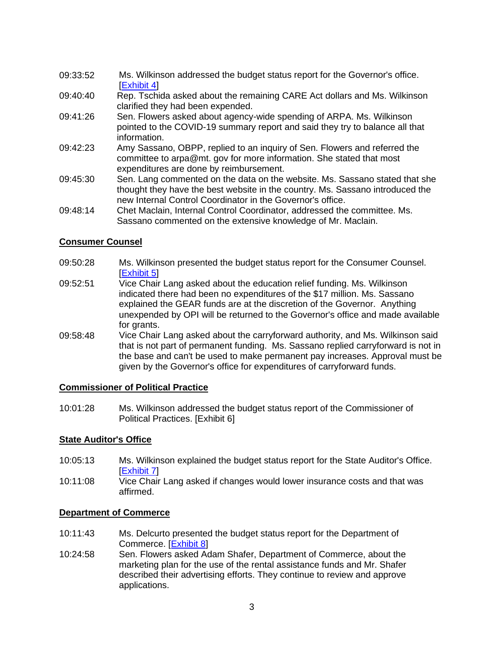- 09:33:52 Ms. Wilkinson addressed the budget status report for the Governor's office. [\[Exhibit](https://leg.mt.gov/content/publications/fiscal/2023-Interim/FY22-March/GOV.pdf) 4]
- 09:40:40 Rep. Tschida asked about the remaining CARE Act dollars and Ms. Wilkinson clarified they had been expended.
- 09:41:26 Sen. Flowers asked about agency-wide spending of ARPA. Ms. Wilkinson pointed to the COVID-19 summary report and said they try to balance all that information.
- 09:42:23 Amy Sassano, OBPP, replied to an inquiry of Sen. Flowers and referred the committee to arpa@mt. gov for more information. She stated that most expenditures are done by reimbursement.
- 09:45:30 Sen. Lang commented on the data on the website. Ms. Sassano stated that she thought they have the best website in the country. Ms. Sassano introduced the new Internal Control Coordinator in the Governor's office.
- 09:48:14 Chet Maclain, Internal Control Coordinator, addressed the committee. Ms. Sassano commented on the extensive knowledge of Mr. Maclain.

# **Consumer Counsel**

- 09:50:28 Ms. Wilkinson presented the budget status report for the Consumer Counsel. **[\[Exhibit 5\]](https://leg.mt.gov/content/publications/fiscal/2023-Interim/FY22-March/CC.pdf)**
- 09:52:51 Vice Chair Lang asked about the education relief funding. Ms. Wilkinson indicated there had been no expenditures of the \$17 million. Ms. Sassano explained the GEAR funds are at the discretion of the Governor. Anything unexpended by OPI will be returned to the Governor's office and made available for grants.
- 09:58:48 Vice Chair Lang asked about the carryforward authority, and Ms. Wilkinson said that is not part of permanent funding. Ms. Sassano replied carryforward is not in the base and can't be used to make permanent pay increases. Approval must be given by the Governor's office for expenditures of carryforward funds.

# **Commissioner of Political Practice**

10:01:28 Ms. Wilkinson addressed the budget status report of the Commissioner of Political Practices. [Exhibit 6]

# **State Auditor's Office**

- 10:05:13 Ms. Wilkinson explained the budget status report for the State Auditor's Office. [\[Exhibit 7\]](https://leg.mt.gov/content/publications/fiscal/2023-Interim/FY22-March/SAO.pdf)
- 10:11:08 Vice Chair Lang asked if changes would lower insurance costs and that was affirmed.

#### **Department of Commerce**

- 10:11:43 Ms. Delcurto presented the budget status report for the Department of Commerce. [\[Exhibit 8\]](https://leg.mt.gov/content/publications/fiscal/2023-Interim/FY22-March/COMM.pdf)
- 10:24:58 Sen. Flowers asked Adam Shafer, Department of Commerce, about the marketing plan for the use of the rental assistance funds and Mr. Shafer described their advertising efforts. They continue to review and approve applications.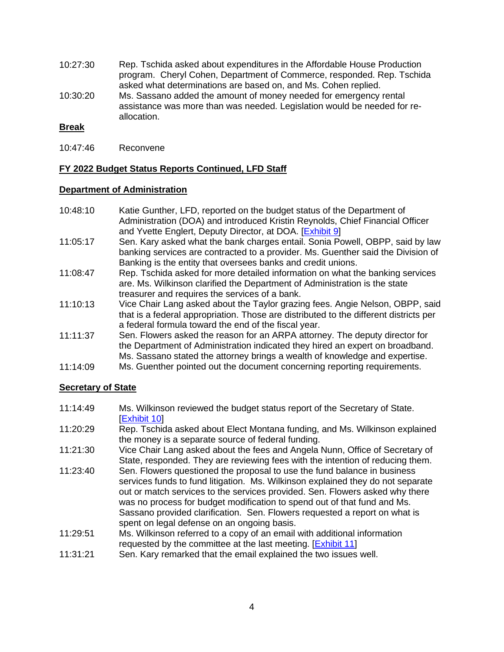- 10:27:30 Rep. Tschida asked about expenditures in the Affordable House Production program. Cheryl Cohen, Department of Commerce, responded. Rep. Tschida asked what determinations are based on, and Ms. Cohen replied.
- 10:30:20 Ms. Sassano added the amount of money needed for emergency rental assistance was more than was needed. Legislation would be needed for reallocation.

# **Break**

10:47:46 Reconvene

# **FY 2022 Budget Status Reports Continued, LFD Staff**

#### **Department of Administration**

- 10:48:10 Katie Gunther, LFD, reported on the budget status of the Department of Administration (DOA) and introduced Kristin Reynolds, Chief Financial Officer and Yvette Englert, Deputy Director, at DOA. [\[Exhibit 9\]](https://leg.mt.gov/content/publications/fiscal/2023-Interim/FY22-March/DOA.pdf)
- 11:05:17 Sen. Kary asked what the bank charges entail. Sonia Powell, OBPP, said by law banking services are contracted to a provider. Ms. Guenther said the Division of Banking is the entity that oversees banks and credit unions.
- 11:08:47 Rep. Tschida asked for more detailed information on what the banking services are. Ms. Wilkinson clarified the Department of Administration is the state treasurer and requires the services of a bank.
- 11:10:13 Vice Chair Lang asked about the Taylor grazing fees. Angie Nelson, OBPP, said that is a federal appropriation. Those are distributed to the different districts per a federal formula toward the end of the fiscal year.
- 11:11:37 Sen. Flowers asked the reason for an ARPA attorney. The deputy director for the Department of Administration indicated they hired an expert on broadband. Ms. Sassano stated the attorney brings a wealth of knowledge and expertise.
- 11:14:09 Ms. Guenther pointed out the document concerning reporting requirements.

# **Secretary of State**

- 11:14:49 Ms. Wilkinson reviewed the budget status report of the Secretary of State. **[\[Exhibit 10\]](https://leg.mt.gov/content/publications/fiscal/2023-Interim/FY22-March/SOS.pdf)**
- 11:20:29 Rep. Tschida asked about Elect Montana funding, and Ms. Wilkinson explained the money is a separate source of federal funding.
- 11:21:30 Vice Chair Lang asked about the fees and Angela Nunn, Office of Secretary of State, responded. They are reviewing fees with the intention of reducing them.
- 11:23:40 Sen. Flowers questioned the proposal to use the fund balance in business services funds to fund litigation. Ms. Wilkinson explained they do not separate out or match services to the services provided. Sen. Flowers asked why there was no process for budget modification to spend out of that fund and Ms. Sassano provided clarification. Sen. Flowers requested a report on what is spent on legal defense on an ongoing basis.
- 11:29:51 Ms. Wilkinson referred to a copy of an email with additional information requested by the committee at the last meeting. [\[Exhibit 11\]](https://leg.mt.gov/content/publications/fiscal/2023-Interim/IBC-A/Exhibit-11.pdf)
- 11:31:21 Sen. Kary remarked that the email explained the two issues well.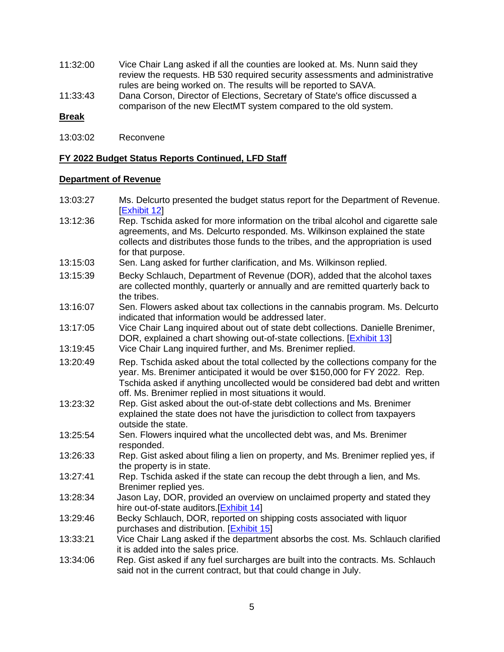- 11:32:00 Vice Chair Lang asked if all the counties are looked at. Ms. Nunn said they review the requests. HB 530 required security assessments and administrative rules are being worked on. The results will be reported to SAVA.
- 11:33:43 Dana Corson, Director of Elections, Secretary of State's office discussed a comparison of the new ElectMT system compared to the old system.

#### **Break**

13:03:02 Reconvene

#### **FY 2022 Budget Status Reports Continued, LFD Staff**

# **Department of Revenue**

- 13:03:27 Ms. Delcurto presented the budget status report for the Department of Revenue. [\[Exhibit 12\]](https://leg.mt.gov/content/publications/fiscal/2023-Interim/FY22-March/DOR.pdf)
- 13:12:36 Rep. Tschida asked for more information on the tribal alcohol and cigarette sale agreements, and Ms. Delcurto responded. Ms. Wilkinson explained the state collects and distributes those funds to the tribes, and the appropriation is used for that purpose.
- 13:15:03 Sen. Lang asked for further clarification, and Ms. Wilkinson replied.
- 13:15:39 Becky Schlauch, Department of Revenue (DOR), added that the alcohol taxes are collected monthly, quarterly or annually and are remitted quarterly back to the tribes.
- 13:16:07 Sen. Flowers asked about tax collections in the cannabis program. Ms. Delcurto indicated that information would be addressed later.
- 13:17:05 Vice Chair Lang inquired about out of state debt collections. Danielle Brenimer, DOR, explained a chart showing out-of-state collections. [\[Exhibit 13\]](https://leg.mt.gov/content/publications/fiscal/2023-Interim/IBC-A/OOS-Tax-Debt-Collections.pdf)
- 13:19:45 Vice Chair Lang inquired further, and Ms. Brenimer replied.
- 13:20:49 Rep. Tschida asked about the total collected by the collections company for the year. Ms. Brenimer anticipated it would be over \$150,000 for FY 2022. Rep. Tschida asked if anything uncollected would be considered bad debt and written off. Ms. Brenimer replied in most situations it would.
- 13:23:32 Rep. Gist asked about the out-of-state debt collections and Ms. Brenimer explained the state does not have the jurisdiction to collect from taxpayers outside the state.
- 13:25:54 Sen. Flowers inquired what the uncollected debt was, and Ms. Brenimer responded.
- 13:26:33 Rep. Gist asked about filing a lien on property, and Ms. Brenimer replied yes, if the property is in state.
- 13:27:41 Rep. Tschida asked if the state can recoup the debt through a lien, and Ms. Brenimer replied yes.
- 13:28:34 Jason Lay, DOR, provided an overview on unclaimed property and stated they hire out-of-state auditors. [\[Exhibit 14\]](https://leg.mt.gov/content/publications/fiscal/2023-Interim/IBC-A/UCP-Collections.pdf)
- 13:29:46 Becky Schlauch, DOR, reported on shipping costs associated with liquor purchases and distribution. [**Exhibit 15**]
- 13:33:21 Vice Chair Lang asked if the department absorbs the cost. Ms. Schlauch clarified it is added into the sales price.
- 13:34:06 Rep. Gist asked if any fuel surcharges are built into the contracts. Ms. Schlauch said not in the current contract, but that could change in July.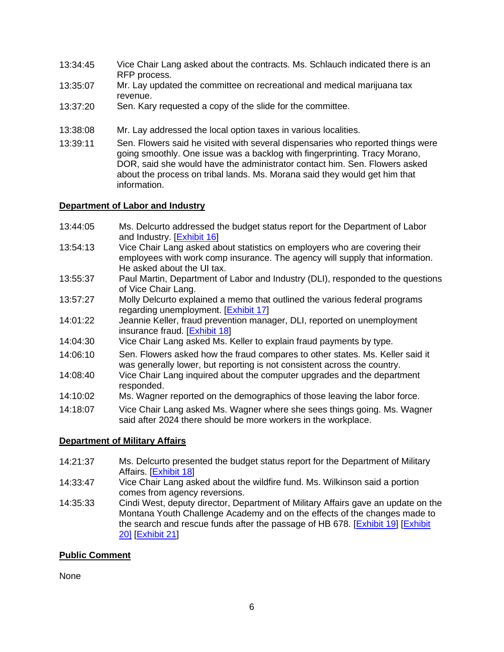- 13:34:45 Vice Chair Lang asked about the contracts. Ms. Schlauch indicated there is an RFP process.
- 13:35:07 Mr. Lay updated the committee on recreational and medical marijuana tax revenue.
- 13:37:20 Sen. Kary requested a copy of the slide for the committee.
- 13:38:08 Mr. Lay addressed the local option taxes in various localities.
- 13:39:11 Sen. Flowers said he visited with several dispensaries who reported things were going smoothly. One issue was a backlog with fingerprinting. Tracy Morano, DOR, said she would have the administrator contact him. Sen. Flowers asked about the process on tribal lands. Ms. Morana said they would get him that information.

# **Department of Labor and Industry**

- 13:44:05 Ms. Delcurto addressed the budget status report for the Department of Labor and Industry. [\[Exhibit 16\]](https://leg.mt.gov/content/publications/fiscal/2023-Interim/FY22-March/DOLI.pdf)
- 13:54:13 Vice Chair Lang asked about statistics on employers who are covering their employees with work comp insurance. The agency will supply that information. He asked about the UI tax.
- 13:55:37 Paul Martin, Department of Labor and Industry (DLI), responded to the questions of Vice Chair Lang.
- 13:57:27 Molly Delcurto explained a memo that outlined the various federal programs regarding unemployment. [\[Exhibit 17\]](https://leg.mt.gov/content/publications/fiscal/2023-Interim/IBC-A/Memo-on-Federal-UI-Programs.pdf)
- 14:01:22 Jeannie Keller, fraud prevention manager, DLI, reported on unemployment insurance fraud. [\[Exhibit 18\]](https://leg.mt.gov/content/publications/fiscal/2023-Interim/IBC-A/2022.3.9%20Fraud-Report.pdf)
- 14:04:30 Vice Chair Lang asked Ms. Keller to explain fraud payments by type.
- 14:06:10 Sen. Flowers asked how the fraud compares to other states. Ms. Keller said it was generally lower, but reporting is not consistent across the country.
- 14:08:40 Vice Chair Lang inquired about the computer upgrades and the department responded.
- 14:10:02 Ms. Wagner reported on the demographics of those leaving the labor force.
- 14:18:07 Vice Chair Lang asked Ms. Wagner where she sees things going. Ms. Wagner said after 2024 there should be more workers in the workplace.

# **Department of Military Affairs**

- 14:21:37 Ms. Delcurto presented the budget status report for the Department of Military Affairs. [\[Exhibit 18\]](https://leg.mt.gov/content/publications/fiscal/2023-Interim/FY22-March/DMA.pdf)
- 14:33:47 Vice Chair Lang asked about the wildfire fund. Ms. Wilkinson said a portion comes from agency reversions.
- 14:35:33 Cindi West, deputy director, Department of Military Affairs gave an update on the Montana Youth Challenge Academy and on the effects of the changes made to the search and rescue funds after the passage of HB 678. [\[Exhibit 19\]](https://leg.mt.gov/content/publications/fiscal/2023-Interim/IBC-A/Admissions-Trends-FY18-FY22-(2).pdf) [\[Exhibit](https://leg.mt.gov/content/publications/fiscal/2023-Interim/IBC-A/MYCA-Staff-Turnover-SFY18-SFY22-4.0.pdf)  [20\]](https://leg.mt.gov/content/publications/fiscal/2023-Interim/IBC-A/MYCA-Staff-Turnover-SFY18-SFY22-4.0.pdf) [\[Exhibit 21\]](https://leg.mt.gov/content/publications/fiscal/2023-Interim/IBC-A/IBC-Search%20and%20Rescue.pdf)

# **Public Comment**

None